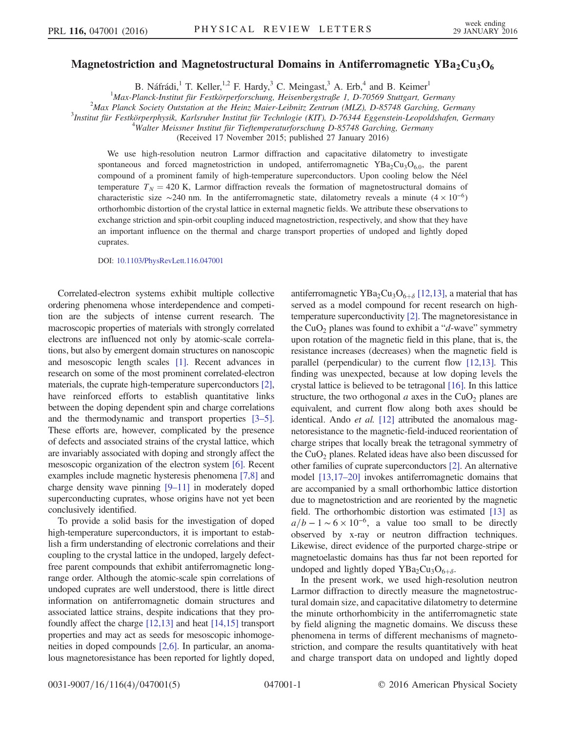## Magnetostriction and Magnetostructural Domains in Antiferromagnetic  $YBa<sub>2</sub>Cu<sub>3</sub>O<sub>6</sub>$

B. Náfrádi,<sup>1</sup> T. Keller,<sup>1,2</sup> F. Hardy,<sup>3</sup> C. Meingast,<sup>3</sup> A. Erb,<sup>4</sup> and B. Keimer<sup>1</sup>

<sup>1</sup>Max-Planck-Institut für Festkörperforschung, Heisenbergstraße 1, D-70569 Stuttgart, Germany<br><sup>2</sup>Max Planck Society Qutetation at the Heinz Major Leibnitz Zentrum (MLZ), D 85748 Garoking, Ger

 $^{2}$ Max Planck Society Outstation at the Heinz Maier-Leibnitz Zentrum (MLZ), D-85748 Garching, Germany

Institut für Festkörperphysik, Karlsruher Institut für Technlogie (KIT), D-76344 Eggenstein-Leopoldshafen, Germany <sup>4</sup>

<sup>4</sup>Walter Meissner Institut für Tieftemperaturforschung D-85748 Garching, Germany

(Received 17 November 2015; published 27 January 2016)

We use high-resolution neutron Larmor diffraction and capacitative dilatometry to investigate spontaneous and forced magnetostriction in undoped, antiferromagnetic  $YBa<sub>2</sub>Cu<sub>3</sub>O<sub>6.0</sub>$ , the parent compound of a prominent family of high-temperature superconductors. Upon cooling below the Néel temperature  $T_N = 420$  K, Larmor diffraction reveals the formation of magnetostructural domains of characteristic size ∼240 nm. In the antiferromagnetic state, dilatometry reveals a minute  $(4 \times 10^{-6})$ orthorhombic distortion of the crystal lattice in external magnetic fields. We attribute these observations to exchange striction and spin-orbit coupling induced magnetostriction, respectively, and show that they have an important influence on the thermal and charge transport properties of undoped and lightly doped cuprates.

DOI: [10.1103/PhysRevLett.116.047001](http://dx.doi.org/10.1103/PhysRevLett.116.047001)

Correlated-electron systems exhibit multiple collective ordering phenomena whose interdependence and competition are the subjects of intense current research. The macroscopic properties of materials with strongly correlated electrons are influenced not only by atomic-scale correlations, but also by emergent domain structures on nanoscopic and mesoscopic length scales [\[1\].](#page-4-0) Recent advances in research on some of the most prominent correlated-electron materials, the cuprate high-temperature superconductors [\[2\]](#page-4-1), have reinforced efforts to establish quantitative links between the doping dependent spin and charge correlations and the thermodynamic and transport properties [\[3](#page-4-2)–5]. These efforts are, however, complicated by the presence of defects and associated strains of the crystal lattice, which are invariably associated with doping and strongly affect the mesoscopic organization of the electron system [\[6\].](#page-4-3) Recent examples include magnetic hysteresis phenomena [\[7,8\]](#page-4-4) and charge density wave pinning [9–[11\]](#page-4-5) in moderately doped superconducting cuprates, whose origins have not yet been conclusively identified.

To provide a solid basis for the investigation of doped high-temperature superconductors, it is important to establish a firm understanding of electronic correlations and their coupling to the crystal lattice in the undoped, largely defectfree parent compounds that exhibit antiferromagnetic longrange order. Although the atomic-scale spin correlations of undoped cuprates are well understood, there is little direct information on antiferromagnetic domain structures and associated lattice strains, despite indications that they profoundly affect the charge [\[12,13\]](#page-4-6) and heat [\[14,15\]](#page-4-7) transport properties and may act as seeds for mesoscopic inhomogeneities in doped compounds [\[2,6\]](#page-4-1). In particular, an anomalous magnetoresistance has been reported for lightly doped,

antiferromagnetic YBa<sub>2</sub>Cu<sub>3</sub>O<sub>6+ $\delta$ </sub> [\[12,13\]](#page-4-6), a material that has served as a model compound for recent research on hightemperature superconductivity [\[2\]](#page-4-1). The magnetoresistance in the  $CuO<sub>2</sub>$  planes was found to exhibit a "d-wave" symmetry upon rotation of the magnetic field in this plane, that is, the resistance increases (decreases) when the magnetic field is parallel (perpendicular) to the current flow [\[12,13\]](#page-4-6). This finding was unexpected, because at low doping levels the crystal lattice is believed to be tetragonal [\[16\].](#page-4-8) In this lattice structure, the two orthogonal  $a$  axes in the CuO<sub>2</sub> planes are equivalent, and current flow along both axes should be identical. Ando et al. [\[12\]](#page-4-6) attributed the anomalous magnetoresistance to the magnetic-field-induced reorientation of charge stripes that locally break the tetragonal symmetry of the  $CuO<sub>2</sub>$  planes. Related ideas have also been discussed for other families of cuprate superconductors [\[2\].](#page-4-1) An alternative model [\[13,17](#page-4-9)–20] invokes antiferromagnetic domains that are accompanied by a small orthorhombic lattice distortion due to magnetostriction and are reoriented by the magnetic field. The orthorhombic distortion was estimated [\[13\]](#page-4-9) as  $a/b - 1 \sim 6 \times 10^{-6}$ , a value too small to be directly observed by x-ray or neutron diffraction techniques. Likewise, direct evidence of the purported charge-stripe or magnetoelastic domains has thus far not been reported for undoped and lightly doped  $YBa_2Cu_3O_{6+\delta}$ .

In the present work, we used high-resolution neutron Larmor diffraction to directly measure the magnetostructural domain size, and capacitative dilatometry to determine the minute orthorhombicity in the antiferromagnetic state by field aligning the magnetic domains. We discuss these phenomena in terms of different mechanisms of magnetostriction, and compare the results quantitatively with heat and charge transport data on undoped and lightly doped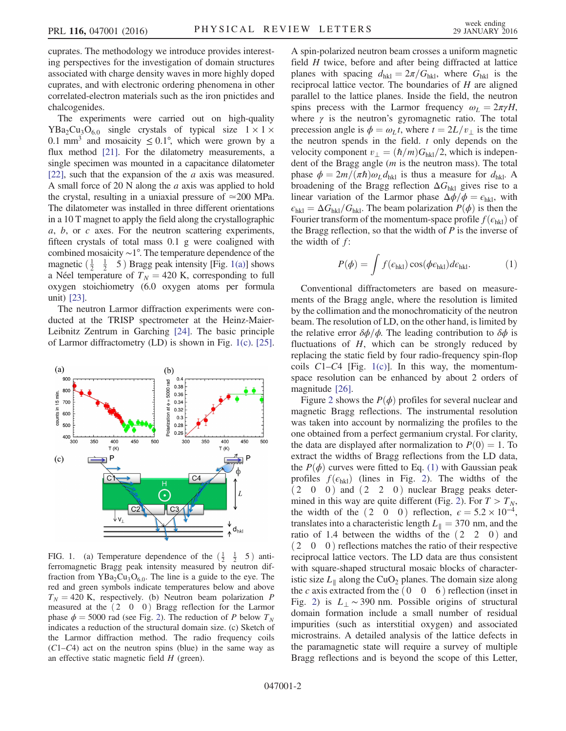cuprates. The methodology we introduce provides interesting perspectives for the investigation of domain structures associated with charge density waves in more highly doped cuprates, and with electronic ordering phenomena in other correlated-electron materials such as the iron pnictides and chalcogenides.

The experiments were carried out on high-quality  $YBa<sub>2</sub>Cu<sub>3</sub>O<sub>6.0</sub>$  single crystals of typical size  $1 \times 1 \times$ 0.1 mm<sup>3</sup> and mosaicity  $\leq 0.1^{\circ}$ , which were grown by a flux method [\[21\]](#page-4-10). For the dilatometry measurements, a single specimen was mounted in a capacitance dilatometer [\[22\],](#page-4-11) such that the expansion of the  $\alpha$  axis was measured. A small force of 20 N along the a axis was applied to hold the crystal, resulting in a uniaxial pressure of  $\simeq 200$  MPa. The dilatometer was installed in three different orientations in a 10 T magnet to apply the field along the crystallographic  $a, b,$  or  $c$  axes. For the neutron scattering experiments, fifteen crystals of total mass 0.1 g were coaligned with combined mosaicity ∼1°. The temperature dependence of the magnetic  $\left(\frac{1}{2} \quad \frac{1}{2} \quad 5\right)$  Bragg peak intensity [Fig. [1\(a\)](#page-1-0)] shows a Néel temperature of  $T_N = 420$  K, corresponding to full oxygen stoichiometry (6.0 oxygen atoms per formula unit) [\[23\].](#page-4-12)

The neutron Larmor diffraction experiments were conducted at the TRISP spectrometer at the Heinz-Maier-Leibnitz Zentrum in Garching [\[24\].](#page-4-13) The basic principle of Larmor diffractometry (LD) is shown in Fig. [1\(c\)](#page-1-0). [\[25\]](#page-4-14).

<span id="page-1-0"></span>

FIG. 1. (a) Temperature dependence of the  $\left(\frac{1}{2} \quad \frac{1}{2} \quad 5\right)$  antiferromagnetic Bragg peak intensity measured by neutron diffraction from  $YBa<sub>2</sub>Cu<sub>3</sub>O<sub>6.0</sub>$ . The line is a guide to the eye. The red and green symbols indicate temperatures below and above  $T_N = 420$  K, respectively. (b) Neutron beam polarization P measured at the  $(2 \ 0 \ 0)$  Bragg reflection for the Larmor phase  $\phi = 5000$  rad (see Fig. [2\)](#page-2-0). The reduction of P below  $T_N$ indicates a reduction of the structural domain size. (c) Sketch of the Larmor diffraction method. The radio frequency coils  $(C1-C4)$  act on the neutron spins (blue) in the same way as an effective static magnetic field  $H$  (green).

A spin-polarized neutron beam crosses a uniform magnetic field H twice, before and after being diffracted at lattice planes with spacing  $d_{hkl} = 2\pi/G_{hkl}$ , where  $G_{hkl}$  is the reciprocal lattice vector. The boundaries of  $H$  are aligned parallel to the lattice planes. Inside the field, the neutron spins precess with the Larmor frequency  $\omega_L = 2\pi \gamma H$ , where  $\gamma$  is the neutron's gyromagnetic ratio. The total precession angle is  $\phi = \omega_L t$ , where  $t = 2L/v_{\perp}$  is the time the neutron spends in the field.  $t$  only depends on the velocity component  $v_{\perp} = (\hbar/m)G_{hkl}/2$ , which is independent of the Bragg angle (m is the neutron mass). The total phase  $\phi = 2m/(\pi\hbar)\omega_L d_{hkl}$  is thus a measure for  $d_{hkl}$ . A broadening of the Bragg reflection  $\Delta G_{hkl}$  gives rise to a linear variation of the Larmor phase  $\Delta \phi / \phi = \epsilon_{hkl}$ , with  $\epsilon_{hkl} = \Delta G_{hkl}/G_{hkl}$ . The beam polarization  $P(\phi)$  is then the Fourier transform of the momentum-space profile  $f(\epsilon_{hkl})$  of the Bragg reflection, so that the width of  $P$  is the inverse of the width of  $f$ :

<span id="page-1-1"></span>
$$
P(\phi) = \int f(\epsilon_{\text{hkl}}) \cos(\phi \epsilon_{\text{hkl}}) d\epsilon_{\text{hkl}}.
$$
 (1)

Conventional diffractometers are based on measurements of the Bragg angle, where the resolution is limited by the collimation and the monochromaticity of the neutron beam. The resolution of LD, on the other hand, is limited by the relative error  $\delta\phi/\phi$ . The leading contribution to  $\delta\phi$  is fluctuations of  $H$ , which can be strongly reduced by replacing the static field by four radio-frequency spin-flop coils  $C1-C4$  [Fig. [1\(c\)\]](#page-1-0). In this way, the momentumspace resolution can be enhanced by about 2 orders of magnitude [\[26\].](#page-4-15)

Figure [2](#page-2-0) shows the  $P(\phi)$  profiles for several nuclear and magnetic Bragg reflections. The instrumental resolution was taken into account by normalizing the profiles to the one obtained from a perfect germanium crystal. For clarity, the data are displayed after normalization to  $P(0) = 1$ . To extract the widths of Bragg reflections from the LD data, the  $P(\phi)$  curves were fitted to Eq. [\(1\)](#page-1-1) with Gaussian peak profiles  $f(\epsilon_{hkl})$  (lines in Fig. [2\)](#page-2-0). The widths of the  $(2 \ 0 \ 0)$  and  $(2 \ 2 \ 0)$  nuclear Bragg peaks deter-mined in this way are quite different (Fig. [2\)](#page-2-0). For  $T>T_N$ , the width of the  $(2 \ 0 \ 0)$  reflection,  $\epsilon = 5.2 \times 10^{-4}$ , translates into a characteristic length  $L_{\parallel} = 370$  nm, and the ratio of 1.4 between the widths of the  $(2 \ 2 \ 0)$  and  $(2\ 0\ 0)$  reflections matches the ratio of their respective reciprocal lattice vectors. The LD data are thus consistent with square-shaped structural mosaic blocks of characteristic size  $L_{\parallel}$  along the CuO<sub>2</sub> planes. The domain size along the c axis extracted from the  $(0 \ 0 \ 6)$  reflection (inset in Fig. [2\)](#page-2-0) is  $L_{\perp} \sim 390$  nm. Possible origins of structural domain formation include a small number of residual impurities (such as interstitial oxygen) and associated microstrains. A detailed analysis of the lattice defects in the paramagnetic state will require a survey of multiple Bragg reflections and is beyond the scope of this Letter,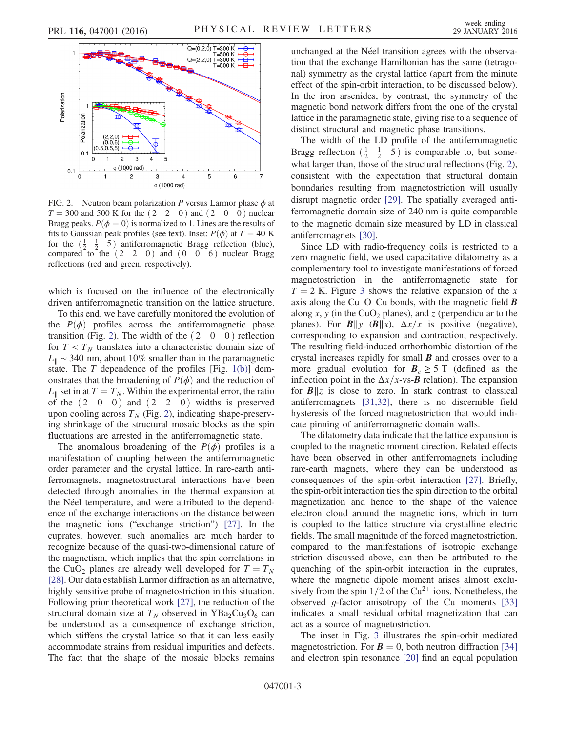<span id="page-2-0"></span>

FIG. 2. Neutron beam polarization P versus Larmor phase  $\phi$  at  $T = 300$  and 500 K for the  $(2 \ 2 \ 0)$  and  $(2 \ 0 \ 0)$  nuclear Bragg peaks.  $P(\phi = 0)$  is normalized to 1. Lines are the results of fits to Gaussian peak profiles (see text). Inset:  $P(\phi)$  at  $T = 40$  K for the  $\left(\frac{1}{2}, \frac{1}{2}, 5\right)$  antiferromagnetic Bragg reflection (blue), compared to the  $(2 \ 2 \ 0)$  and  $(0 \ 0 \ 6)$  nuclear Bragg reflections (red and green, respectively).

which is focused on the influence of the electronically driven antiferromagnetic transition on the lattice structure.

To this end, we have carefully monitored the evolution of the  $P(\phi)$  profiles across the antiferromagnetic phase transition (Fig. [2\)](#page-2-0). The width of the  $(2 \ 0 \ 0)$  reflection for  $T < T<sub>N</sub>$  translates into a characteristic domain size of  $L_{\parallel}$  ~ 340 nm, about 10% smaller than in the paramagnetic state. The  $T$  dependence of the profiles [Fig. [1\(b\)](#page-1-0)] demonstrates that the broadening of  $P(\phi)$  and the reduction of  $L_{\parallel}$  set in at  $T = T_N$ . Within the experimental error, the ratio of the  $(2 \t0 \t0)$  and  $(2 \t2 \t0)$  widths is preserved upon cooling across  $T_N$  (Fig. [2\)](#page-2-0), indicating shape-preserving shrinkage of the structural mosaic blocks as the spin fluctuations are arrested in the antiferromagnetic state.

The anomalous broadening of the  $P(\phi)$  profiles is a manifestation of coupling between the antiferromagnetic order parameter and the crystal lattice. In rare-earth antiferromagnets, magnetostructural interactions have been detected through anomalies in the thermal expansion at the Néel temperature, and were attributed to the dependence of the exchange interactions on the distance between the magnetic ions ("exchange striction") [\[27\].](#page-4-16) In the cuprates, however, such anomalies are much harder to recognize because of the quasi-two-dimensional nature of the magnetism, which implies that the spin correlations in the CuO<sub>2</sub> planes are already well developed for  $T = T_N$ [\[28\]](#page-4-17). Our data establish Larmor diffraction as an alternative, highly sensitive probe of magnetostriction in this situation. Following prior theoretical work [\[27\]](#page-4-16), the reduction of the structural domain size at  $T_N$  observed in YBa<sub>2</sub>Cu<sub>3</sub>O<sub>6</sub> can be understood as a consequence of exchange striction, which stiffens the crystal lattice so that it can less easily accommodate strains from residual impurities and defects. The fact that the shape of the mosaic blocks remains unchanged at the Néel transition agrees with the observation that the exchange Hamiltonian has the same (tetragonal) symmetry as the crystal lattice (apart from the minute effect of the spin-orbit interaction, to be discussed below). In the iron arsenides, by contrast, the symmetry of the magnetic bond network differs from the one of the crystal lattice in the paramagnetic state, giving rise to a sequence of distinct structural and magnetic phase transitions.

The width of the LD profile of the antiferromagnetic Bragg reflection  $\left(\frac{1}{2} \quad \frac{1}{2} \quad 5\right)$  is comparable to, but somewhat larger than, those of the structural reflections (Fig. [2](#page-2-0)), consistent with the expectation that structural domain boundaries resulting from magnetostriction will usually disrupt magnetic order [\[29\]](#page-4-18). The spatially averaged antiferromagnetic domain size of 240 nm is quite comparable to the magnetic domain size measured by LD in classical antiferromagnets [\[30\]](#page-4-19).

Since LD with radio-frequency coils is restricted to a zero magnetic field, we used capacitative dilatometry as a complementary tool to investigate manifestations of forced magnetostriction in the antiferromagnetic state for  $T = 2$  K. Figure [3](#page-3-0) shows the relative expansion of the x axis along the Cu–O–Cu bonds, with the magnetic field  $\boldsymbol{B}$ along x, y (in the CuO<sub>2</sub> planes), and z (perpendicular to the planes). For  $B||y \left( B||x \right)$ ,  $\Delta x/x$  is positive (negative), corresponding to expansion and contraction, respectively. The resulting field-induced orthorhombic distortion of the crystal increases rapidly for small  $\bm{B}$  and crosses over to a more gradual evolution for  $B_c \geq 5$  T (defined as the inflection point in the  $\Delta x/x$ -vs-**B** relation). The expansion for  $B||z$  is close to zero. In stark contrast to classical antiferromagnets [\[31,32\]](#page-4-20), there is no discernible field hysteresis of the forced magnetostriction that would indicate pinning of antiferromagnetic domain walls.

The dilatometry data indicate that the lattice expansion is coupled to the magnetic moment direction. Related effects have been observed in other antiferromagnets including rare-earth magnets, where they can be understood as consequences of the spin-orbit interaction [\[27\]](#page-4-16). Briefly, the spin-orbit interaction ties the spin direction to the orbital magnetization and hence to the shape of the valence electron cloud around the magnetic ions, which in turn is coupled to the lattice structure via crystalline electric fields. The small magnitude of the forced magnetostriction, compared to the manifestations of isotropic exchange striction discussed above, can then be attributed to the quenching of the spin-orbit interaction in the cuprates, where the magnetic dipole moment arises almost exclusively from the spin  $1/2$  of the Cu<sup>2+</sup> ions. Nonetheless, the observed  $q$ -factor anisotropy of the Cu moments [\[33\]](#page-4-21) indicates a small residual orbital magnetization that can act as a source of magnetostriction.

The inset in Fig. [3](#page-3-0) illustrates the spin-orbit mediated magnetostriction. For  $\mathbf{B} = 0$ , both neutron diffraction [\[34\]](#page-4-22) and electron spin resonance [\[20\]](#page-4-23) find an equal population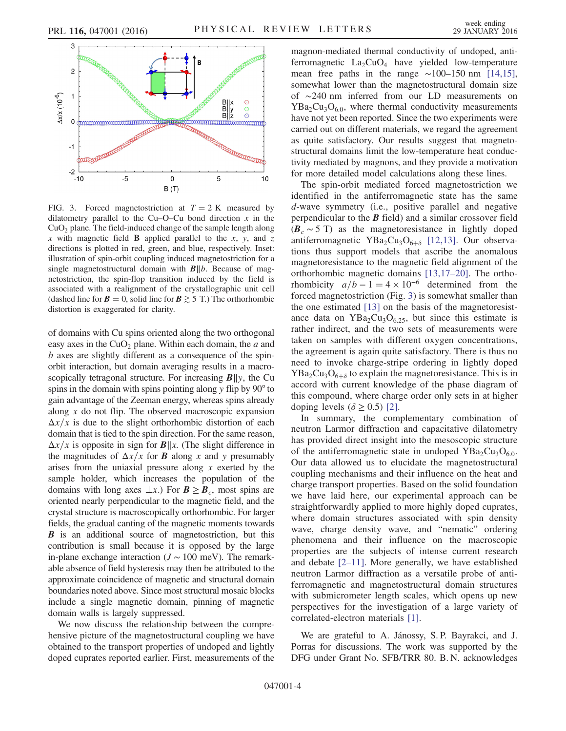<span id="page-3-0"></span>

FIG. 3. Forced magnetostriction at  $T = 2$  K measured by dilatometry parallel to the Cu–O–Cu bond direction  $x$  in the  $CuO<sub>2</sub>$  plane. The field-induced change of the sample length along x with magnetic field **B** applied parallel to the x, y, and z directions is plotted in red, green, and blue, respectively. Inset: illustration of spin-orbit coupling induced magnetostriction for a single magnetostructural domain with  $B||b$ . Because of magnetostriction, the spin-flop transition induced by the field is associated with a realignment of the crystallographic unit cell (dashed line for  $\mathbf{B} = 0$ , solid line for  $\mathbf{B} \geq 5$  T.) The orthorhombic distortion is exaggerated for clarity.

of domains with Cu spins oriented along the two orthogonal easy axes in the  $CuO<sub>2</sub>$  plane. Within each domain, the  $a$  and b axes are slightly different as a consequence of the spinorbit interaction, but domain averaging results in a macroscopically tetragonal structure. For increasing  $B||y$ , the Cu spins in the domain with spins pointing along y flip by 90 $^{\circ}$  to gain advantage of the Zeeman energy, whereas spins already along  $x$  do not flip. The observed macroscopic expansion  $\Delta x/x$  is due to the slight orthorhombic distortion of each domain that is tied to the spin direction. For the same reason,  $\Delta x/x$  is opposite in sign for  $B||x$ . (The slight difference in the magnitudes of  $\Delta x/x$  for **B** along x and y presumably arises from the uniaxial pressure along  $x$  exerted by the sample holder, which increases the population of the domains with long axes  $\perp x$ .) For  $\mathbf{B} \geq \mathbf{B}_c$ , most spins are oriented nearly perpendicular to the magnetic field, and the crystal structure is macroscopically orthorhombic. For larger fields, the gradual canting of the magnetic moments towards **B** is an additional source of magnetostriction, but this contribution is small because it is opposed by the large in-plane exchange interaction ( $J \sim 100$  meV). The remarkable absence of field hysteresis may then be attributed to the approximate coincidence of magnetic and structural domain boundaries noted above. Since most structural mosaic blocks include a single magnetic domain, pinning of magnetic domain walls is largely suppressed.

We now discuss the relationship between the comprehensive picture of the magnetostructural coupling we have obtained to the transport properties of undoped and lightly doped cuprates reported earlier. First, measurements of the magnon-mediated thermal conductivity of undoped, antiferromagnetic  $La_2CuO_4$  have yielded low-temperature mean free paths in the range  $\sim$ 100–150 nm [\[14,15\]](#page-4-7), somewhat lower than the magnetostructural domain size of ∼240 nm inferred from our LD measurements on  $YBa<sub>2</sub>Cu<sub>3</sub>O<sub>60</sub>$ , where thermal conductivity measurements have not yet been reported. Since the two experiments were carried out on different materials, we regard the agreement as quite satisfactory. Our results suggest that magnetostructural domains limit the low-temperature heat conductivity mediated by magnons, and they provide a motivation for more detailed model calculations along these lines.

The spin-orbit mediated forced magnetostriction we identified in the antiferromagnetic state has the same d-wave symmetry (i.e., positive parallel and negative perpendicular to the  $\bm{B}$  field) and a similar crossover field  $(B<sub>c</sub> ~ 5~ T)$  as the magnetoresistance in lightly doped antiferromagnetic YBa<sub>2</sub>Cu<sub>3</sub>O<sub>6+ $\delta$ </sub> [\[12,13\]](#page-4-6). Our observations thus support models that ascribe the anomalous magnetoresistance to the magnetic field alignment of the orthorhombic magnetic domains [\[13,17](#page-4-9)–20]. The orthorhombicity  $a/b - 1 = 4 \times 10^{-6}$  determined from the forced magnetostriction (Fig. [3\)](#page-3-0) is somewhat smaller than the one estimated [\[13\]](#page-4-9) on the basis of the magnetoresistance data on  $YBa<sub>2</sub>Cu<sub>3</sub>O<sub>6.25</sub>$ , but since this estimate is rather indirect, and the two sets of measurements were taken on samples with different oxygen concentrations, the agreement is again quite satisfactory. There is thus no need to invoke charge-stripe ordering in lightly doped  $YBa<sub>2</sub>Cu<sub>3</sub>O<sub>6+\delta</sub>$  to explain the magnetoresistance. This is in accord with current knowledge of the phase diagram of this compound, where charge order only sets in at higher doping levels  $(\delta > 0.5)$  [\[2\]](#page-4-1).

In summary, the complementary combination of neutron Larmor diffraction and capacitative dilatometry has provided direct insight into the mesoscopic structure of the antiferromagnetic state in undoped  $YBa<sub>2</sub>Cu<sub>3</sub>O<sub>6.0</sub>$ . Our data allowed us to elucidate the magnetostructural coupling mechanisms and their influence on the heat and charge transport properties. Based on the solid foundation we have laid here, our experimental approach can be straightforwardly applied to more highly doped cuprates, where domain structures associated with spin density wave, charge density wave, and "nematic" ordering phenomena and their influence on the macroscopic properties are the subjects of intense current research and debate [2–[11\]](#page-4-1). More generally, we have established neutron Larmor diffraction as a versatile probe of antiferromagnetic and magnetostructural domain structures with submicrometer length scales, which opens up new perspectives for the investigation of a large variety of correlated-electron materials [\[1\]](#page-4-0).

We are grateful to A. Jánossy, S. P. Bayrakci, and J. Porras for discussions. The work was supported by the DFG under Grant No. SFB/TRR 80. B. N. acknowledges